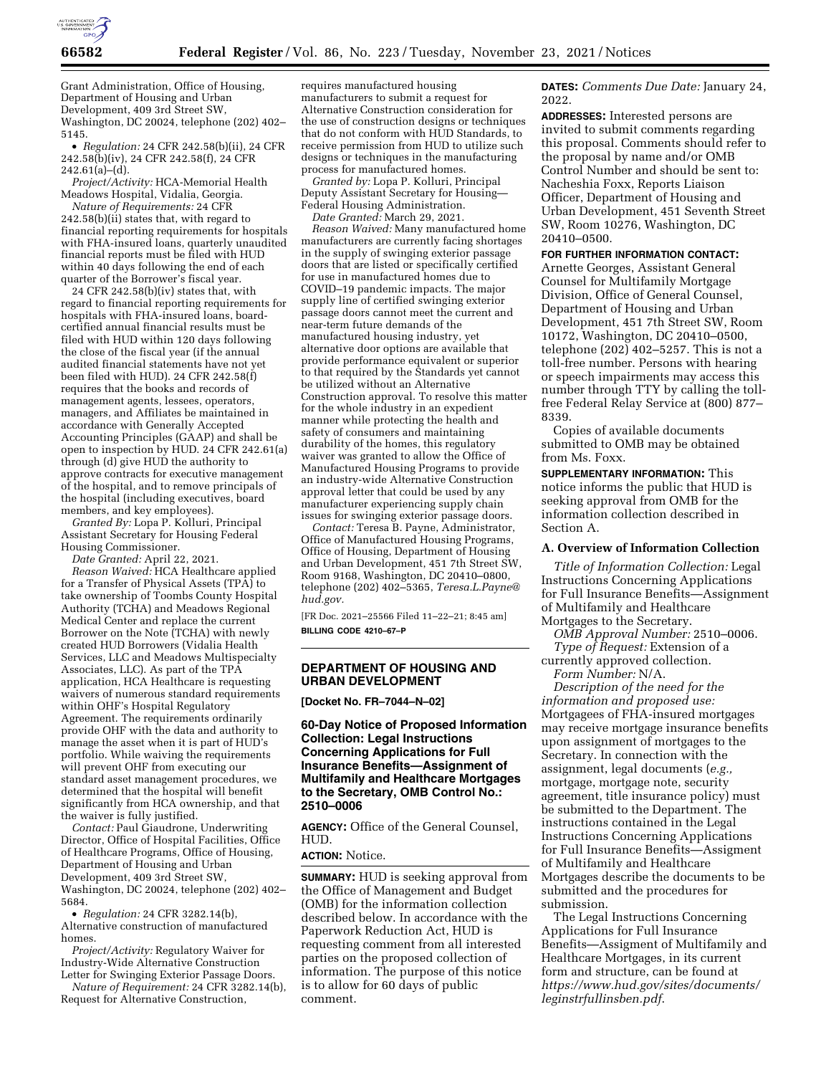

Grant Administration, Office of Housing, Department of Housing and Urban Development, 409 3rd Street SW, Washington, DC 20024, telephone (202) 402– 5145.

• *Regulation:* 24 CFR 242.58(b)(ii), 24 CFR 242.58(b)(iv), 24 CFR 242.58(f), 24 CFR 242.61(a)–(d).

*Project/Activity:* HCA-Memorial Health Meadows Hospital, Vidalia, Georgia.

*Nature of Requirements:* 24 CFR 242.58(b)(ii) states that, with regard to financial reporting requirements for hospitals with FHA-insured loans, quarterly unaudited financial reports must be filed with HUD within 40 days following the end of each quarter of the Borrower's fiscal year.

24 CFR 242.58(b)(iv) states that, with regard to financial reporting requirements for hospitals with FHA-insured loans, boardcertified annual financial results must be filed with HUD within 120 days following the close of the fiscal year (if the annual audited financial statements have not yet been filed with HUD). 24 CFR 242.58(f) requires that the books and records of management agents, lessees, operators, managers, and Affiliates be maintained in accordance with Generally Accepted Accounting Principles (GAAP) and shall be open to inspection by HUD. 24 CFR 242.61(a) through (d) give HUD the authority to approve contracts for executive management of the hospital, and to remove principals of the hospital (including executives, board members, and key employees).

*Granted By:* Lopa P. Kolluri, Principal Assistant Secretary for Housing Federal Housing Commissioner.

*Date Granted:* April 22, 2021.

*Reason Waived:* HCA Healthcare applied for a Transfer of Physical Assets (TPA) to take ownership of Toombs County Hospital Authority (TCHA) and Meadows Regional Medical Center and replace the current Borrower on the Note (TCHA) with newly created HUD Borrowers (Vidalia Health Services, LLC and Meadows Multispecialty Associates, LLC). As part of the TPA application, HCA Healthcare is requesting waivers of numerous standard requirements within OHF's Hospital Regulatory Agreement. The requirements ordinarily provide OHF with the data and authority to manage the asset when it is part of HUD's portfolio. While waiving the requirements will prevent OHF from executing our standard asset management procedures, we determined that the hospital will benefit significantly from HCA ownership, and that the waiver is fully justified.

*Contact:* Paul Giaudrone, Underwriting Director, Office of Hospital Facilities, Office of Healthcare Programs, Office of Housing, Department of Housing and Urban Development, 409 3rd Street SW, Washington, DC 20024, telephone (202) 402– 5684.

• *Regulation:* 24 CFR 3282.14(b), Alternative construction of manufactured homes.

*Project/Activity:* Regulatory Waiver for Industry-Wide Alternative Construction Letter for Swinging Exterior Passage Doors.

*Nature of Requirement:* 24 CFR 3282.14(b), Request for Alternative Construction,

requires manufactured housing manufacturers to submit a request for Alternative Construction consideration for the use of construction designs or techniques that do not conform with HUD Standards, to receive permission from HUD to utilize such designs or techniques in the manufacturing process for manufactured homes.

*Granted by:* Lopa P. Kolluri, Principal Deputy Assistant Secretary for Housing— Federal Housing Administration.

*Date Granted:* March 29, 2021. *Reason Waived:* Many manufactured home manufacturers are currently facing shortages in the supply of swinging exterior passage doors that are listed or specifically certified for use in manufactured homes due to COVID–19 pandemic impacts. The major supply line of certified swinging exterior passage doors cannot meet the current and near-term future demands of the manufactured housing industry, yet alternative door options are available that provide performance equivalent or superior to that required by the Standards yet cannot be utilized without an Alternative Construction approval. To resolve this matter for the whole industry in an expedient manner while protecting the health and safety of consumers and maintaining durability of the homes, this regulatory waiver was granted to allow the Office of Manufactured Housing Programs to provide an industry-wide Alternative Construction approval letter that could be used by any manufacturer experiencing supply chain issues for swinging exterior passage doors.

*Contact:* Teresa B. Payne, Administrator, Office of Manufactured Housing Programs, Office of Housing, Department of Housing and Urban Development, 451 7th Street SW, Room 9168, Washington, DC 20410–0800, telephone (202) 402–5365, *[Teresa.L.Payne@](mailto:Teresa.L.Payne@hud.gov) [hud.gov.](mailto:Teresa.L.Payne@hud.gov)* 

[FR Doc. 2021–25566 Filed 11–22–21; 8:45 am] **BILLING CODE 4210–67–P** 

# **DEPARTMENT OF HOUSING AND URBAN DEVELOPMENT**

**[Docket No. FR–7044–N–02]** 

## **60-Day Notice of Proposed Information Collection: Legal Instructions Concerning Applications for Full Insurance Benefits—Assignment of Multifamily and Healthcare Mortgages to the Secretary, OMB Control No.: 2510–0006**

**AGENCY:** Office of the General Counsel, HUD.

#### **ACTION:** Notice.

**SUMMARY:** HUD is seeking approval from the Office of Management and Budget (OMB) for the information collection described below. In accordance with the Paperwork Reduction Act, HUD is requesting comment from all interested parties on the proposed collection of information. The purpose of this notice is to allow for 60 days of public comment.

**DATES:** *Comments Due Date:* January 24, 2022.

**ADDRESSES:** Interested persons are invited to submit comments regarding this proposal. Comments should refer to the proposal by name and/or OMB Control Number and should be sent to: Nacheshia Foxx, Reports Liaison Officer, Department of Housing and Urban Development, 451 Seventh Street SW, Room 10276, Washington, DC 20410–0500.

# **FOR FURTHER INFORMATION CONTACT:**

Arnette Georges, Assistant General Counsel for Multifamily Mortgage Division, Office of General Counsel, Department of Housing and Urban Development, 451 7th Street SW, Room 10172, Washington, DC 20410–0500, telephone (202) 402–5257. This is not a toll-free number. Persons with hearing or speech impairments may access this number through TTY by calling the tollfree Federal Relay Service at (800) 877– 8339.

Copies of available documents submitted to OMB may be obtained from Ms. Foxx.

**SUPPLEMENTARY INFORMATION:** This notice informs the public that HUD is seeking approval from OMB for the information collection described in Section A.

### **A. Overview of Information Collection**

*Title of Information Collection:* Legal Instructions Concerning Applications for Full Insurance Benefits—Assignment of Multifamily and Healthcare Mortgages to the Secretary.

*OMB Approval Number:* 2510–0006. *Type of Request:* Extension of a

currently approved collection. *Form Number:* N/A.

*Description of the need for the information and proposed use:*  Mortgagees of FHA-insured mortgages may receive mortgage insurance benefits upon assignment of mortgages to the Secretary. In connection with the assignment, legal documents (*e.g.,*  mortgage, mortgage note, security agreement, title insurance policy) must be submitted to the Department. The instructions contained in the Legal Instructions Concerning Applications for Full Insurance Benefits—Assigment of Multifamily and Healthcare Mortgages describe the documents to be submitted and the procedures for submission.

The Legal Instructions Concerning Applications for Full Insurance Benefits—Assigment of Multifamily and Healthcare Mortgages, in its current form and structure, can be found at *[https://www.hud.gov/sites/documents/](https://www.hud.gov/sites/documents/leginstrfullinsben.pdf) [leginstrfullinsben.pdf](https://www.hud.gov/sites/documents/leginstrfullinsben.pdf)*.